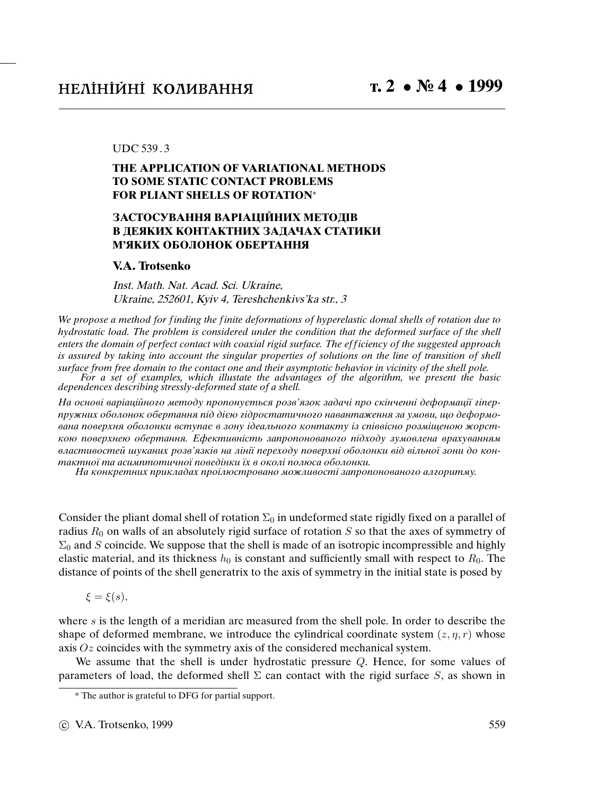## UDC 539 . 3

## **THE APPLICATION OF VARIATIONAL METHODS TO SOME STATIC CONTACT PROBLEMS FOR PLIANT SHELLS OF ROTATION**<sup>∗</sup>

## **ЗАСТОСУВАННЯ ВАРIАЦIЙНИХ МЕТОДIВ В ДЕЯКИХ КОНТАКТНИХ ЗАДАЧАХ СТАТИКИ М'ЯКИХ ОБОЛОНОК ОБЕРТАННЯ**

## **V.A. Trotsenko**

Inst. Math. Nat. Acad. Sci. Ukraine, Ukraine, 252601, Kyiv 4, Tereshchenkivs'ka str., 3

We propose a method for finding the finite deformations of hyperelastic domal shells of rotation due to hydrostatic load. The problem is considered under the condition that the deformed surface of the shell enters the domain of perfect contact with coaxial rigid surface. The ef ficiency of the suggested approach is assured by taking into account the singular properties of solutions on the line of transition of shell surface from free domain to the contact one and their asymptotic behavior in vicinity of the shell pole.

For a set of examples, which illustate the advantages of the algorithm, we present the basic dependences describing stressly-deformed state of a shell.

На основi варiацiйного методу пропонується розв'язок задачi про скiнченнi деформацiї гiперпружних оболонок обертання пiд дiєю гiдростатичного навантаження за умови, що деформована поверхня оболонки вступає в зону iдеального контакту iз спiввiсно розмiщеною жорсткою поверхнею обертання. Ефективнiсть запропонованого пiдходу зумовлена врахуванням властивостей шуканих розв'язкiв на лiнiї переходу поверхнi оболонки вiд вiльної зони до контактної та асимптотичної поведiнки їх в околi полюса оболонки.

На конкретних прикладах проiлюстровано можливостi запропонованого алгоритму.

Consider the pliant domal shell of rotation  $\Sigma_0$  in undeformed state rigidly fixed on a parallel of radius  $R_0$  on walls of an absolutely rigid surface of rotation  $S$  so that the axes of symmetry of  $\Sigma_0$  and S coincide. We suppose that the shell is made of an isotropic incompressible and highly elastic material, and its thickness  $h_0$  is constant and sufficiently small with respect to  $R_0$ . The distance of points of the shell generatrix to the axis of symmetry in the initial state is posed by

 $\xi = \xi(s)$ ,

where  $s$  is the length of a meridian arc measured from the shell pole. In order to describe the shape of deformed membrane, we introduce the cylindrical coordinate system  $(z, \eta, r)$  whose axis  $Oz$  coincides with the symmetry axis of the considered mechanical system.

We assume that the shell is under hydrostatic pressure Q. Hence, for some values of parameters of load, the deformed shell  $\Sigma$  can contact with the rigid surface S, as shown in

<sup>\*</sup> The author is grateful to DFG for partial support.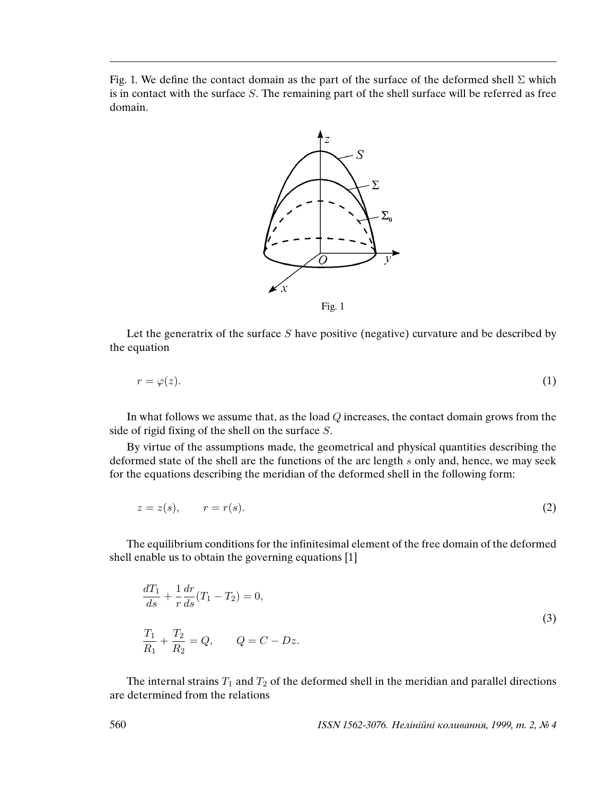Fig. 1. We define the contact domain as the part of the surface of the deformed shell  $\Sigma$  which is in contact with the surface S. The remaining part of the shell surface will be referred as free domain.



Let the generatrix of the surface  $S$  have positive (negative) curvature and be described by the equation

$$
r = \varphi(z). \tag{1}
$$

In what follows we assume that, as the load  $Q$  increases, the contact domain grows from the side of rigid fixing of the shell on the surface S.

By virtue of the assumptions made, the geometrical and physical quantities describing the deformed state of the shell are the functions of the arc length s only and, hence, we may seek for the equations describing the meridian of the deformed shell in the following form:

$$
z = z(s), \qquad r = r(s). \tag{2}
$$

The equilibrium conditions for the infinitesimal element of the free domain of the deformed shell enable us to obtain the governing equations [1]

$$
\frac{dT_1}{ds} + \frac{1}{r} \frac{dr}{ds} (T_1 - T_2) = 0,
$$
\n
$$
\frac{T_1}{R_1} + \frac{T_2}{R_2} = Q, \qquad Q = C - Dz.
$$
\n(3)

The internal strains  $T_1$  and  $T_2$  of the deformed shell in the meridian and parallel directions are determined from the relations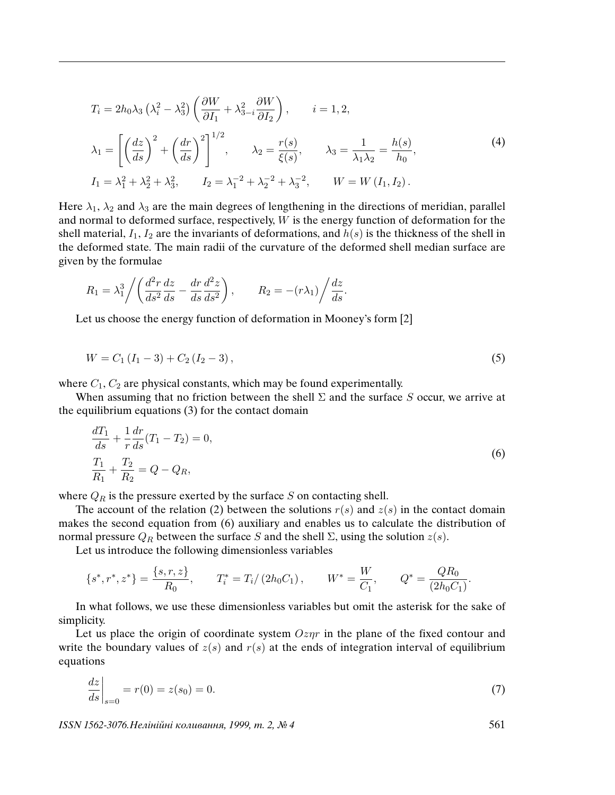$$
T_i = 2h_0\lambda_3 \left(\lambda_i^2 - \lambda_3^2\right) \left(\frac{\partial W}{\partial I_1} + \lambda_{3-i}^2 \frac{\partial W}{\partial I_2}\right), \qquad i = 1, 2,
$$
  

$$
\lambda_1 = \left[ \left(\frac{dz}{ds}\right)^2 + \left(\frac{dr}{ds}\right)^2 \right]^{1/2}, \qquad \lambda_2 = \frac{r(s)}{\xi(s)}, \qquad \lambda_3 = \frac{1}{\lambda_1 \lambda_2} = \frac{h(s)}{h_0},
$$
  

$$
I_1 = \lambda_1^2 + \lambda_2^2 + \lambda_3^2, \qquad I_2 = \lambda_1^{-2} + \lambda_2^{-2} + \lambda_3^{-2}, \qquad W = W\left(I_1, I_2\right).
$$
  
(4)

Here  $\lambda_1$ ,  $\lambda_2$  and  $\lambda_3$  are the main degrees of lengthening in the directions of meridian, parallel and normal to deformed surface, respectively, W is the energy function of deformation for the shell material,  $I_1$ ,  $I_2$  are the invariants of deformations, and  $h(s)$  is the thickness of the shell in the deformed state. The main radii of the curvature of the deformed shell median surface are given by the formulae

$$
R_1 = \lambda_1^3 \bigg/ \bigg( \frac{d^2 r}{ds^2} \frac{dz}{ds} - \frac{dr}{ds} \frac{d^2 z}{ds^2} \bigg) , \qquad R_2 = -(r\lambda_1) \bigg/ \frac{dz}{ds}.
$$

Let us choose the energy function of deformation in Mooney's form [2]

$$
W = C_1 (I_1 - 3) + C_2 (I_2 - 3), \tag{5}
$$

where  $C_1, C_2$  are physical constants, which may be found experimentally.

When assuming that no friction between the shell  $\Sigma$  and the surface S occur, we arrive at the equilibrium equations (3) for the contact domain

$$
\frac{dT_1}{ds} + \frac{1}{r} \frac{dr}{ds} (T_1 - T_2) = 0,
$$
\n
$$
\frac{T_1}{R_1} + \frac{T_2}{R_2} = Q - Q_R,
$$
\n(6)

where  $Q_R$  is the pressure exerted by the surface S on contacting shell.

The account of the relation (2) between the solutions  $r(s)$  and  $z(s)$  in the contact domain makes the second equation from (6) auxiliary and enables us to calculate the distribution of normal pressure  $Q_R$  between the surface S and the shell Σ, using the solution  $z(s)$ .

Let us introduce the following dimensionless variables

$$
\{s^*, r^*, z^*\} = \frac{\{s, r, z\}}{R_0}, \qquad T_i^* = T_i / (2h_0 C_1), \qquad W^* = \frac{W}{C_1}, \qquad Q^* = \frac{QR_0}{(2h_0 C_1)}.
$$

In what follows, we use these dimensionless variables but omit the asterisk for the sake of simplicity.

Let us place the origin of coordinate system  $Oz\eta r$  in the plane of the fixed contour and write the boundary values of  $z(s)$  and  $r(s)$  at the ends of integration interval of equilibrium equations

$$
\left. \frac{dz}{ds} \right|_{s=0} = r(0) = z(s_0) = 0. \tag{7}
$$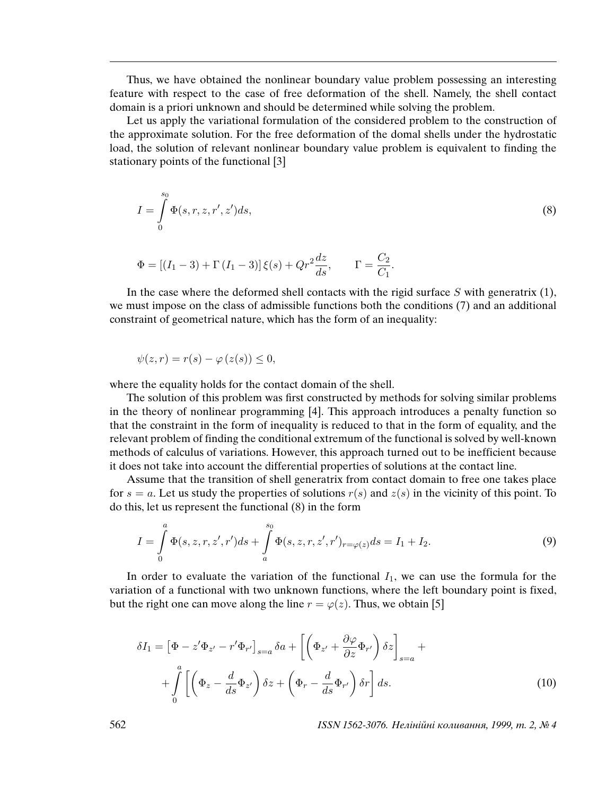Thus, we have obtained the nonlinear boundary value problem possessing an interesting feature with respect to the case of free deformation of the shell. Namely, the shell contact domain is a priori unknown and should be determined while solving the problem.

Let us apply the variational formulation of the considered problem to the construction of the approximate solution. For the free deformation of the domal shells under the hydrostatic load, the solution of relevant nonlinear boundary value problem is equivalent to finding the stationary points of the functional [3]

$$
I = \int_{0}^{s_0} \Phi(s, r, z, r', z') ds,
$$
 (8)

$$
\Phi = [(I_1 - 3) + \Gamma (I_1 - 3)]\xi(s) + Qr^2 \frac{dz}{ds}, \qquad \Gamma = \frac{C_2}{C_1}.
$$

In the case where the deformed shell contacts with the rigid surface  $S$  with generatrix (1), we must impose on the class of admissible functions both the conditions (7) and an additional constraint of geometrical nature, which has the form of an inequality:

$$
\psi(z,r) = r(s) - \varphi(z(s)) \leq 0,
$$

where the equality holds for the contact domain of the shell.

The solution of this problem was first constructed by methods for solving similar problems in the theory of nonlinear programming [4]. This approach introduces a penalty function so that the constraint in the form of inequality is reduced to that in the form of equality, and the relevant problem of finding the conditional extremum of the functional is solved by well-known methods of calculus of variations. However, this approach turned out to be inefficient because it does not take into account the differential properties of solutions at the contact line.

Assume that the transition of shell generatrix from contact domain to free one takes place for  $s = a$ . Let us study the properties of solutions  $r(s)$  and  $z(s)$  in the vicinity of this point. To do this, let us represent the functional (8) in the form

$$
I = \int_{0}^{a} \Phi(s, z, r, z', r') ds + \int_{a}^{s_0} \Phi(s, z, r, z', r')_{r = \varphi(z)} ds = I_1 + I_2.
$$
 (9)

In order to evaluate the variation of the functional  $I_1$ , we can use the formula for the variation of a functional with two unknown functions, where the left boundary point is fixed, but the right one can move along the line  $r = \varphi(z)$ . Thus, we obtain [5]

$$
\delta I_1 = \left[ \Phi - z' \Phi_{z'} - r' \Phi_{r'} \right]_{s=a} \delta a + \left[ \left( \Phi_{z'} + \frac{\partial \varphi}{\partial z} \Phi_{r'} \right) \delta z \right]_{s=a} + + \int_0^a \left[ \left( \Phi_z - \frac{d}{ds} \Phi_{z'} \right) \delta z + \left( \Phi_r - \frac{d}{ds} \Phi_{r'} \right) \delta r \right] ds.
$$
 (10)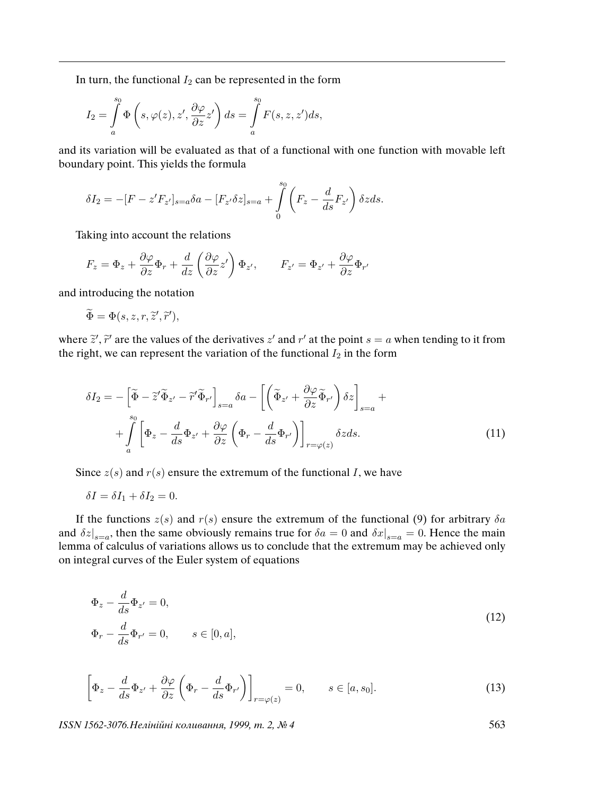In turn, the functional  $I_2$  can be represented in the form

$$
I_2 = \int_a^{s_0} \Phi\left(s, \varphi(z), z', \frac{\partial \varphi}{\partial z} z'\right) ds = \int_a^{s_0} F(s, z, z') ds,
$$

and its variation will be evaluated as that of a functional with one function with movable left boundary point. This yields the formula

$$
\delta I_2 = -[F - z'F_{z'}]_{s=a} \delta a - [F_{z'}\delta z]_{s=a} + \int\limits_{0}^{s_0} \left( F_z - \frac{d}{ds} F_{z'} \right) \delta z ds.
$$

Taking into account the relations

$$
F_z = \Phi_z + \frac{\partial \varphi}{\partial z} \Phi_r + \frac{d}{dz} \left( \frac{\partial \varphi}{\partial z} z' \right) \Phi_{z'}, \qquad F_{z'} = \Phi_{z'} + \frac{\partial \varphi}{\partial z} \Phi_{r'}
$$

and introducing the notation

$$
\widetilde{\Phi} = \Phi(s, z, r, \widetilde{z}', \widetilde{r}'),
$$

where  $\tilde{z}$ ,  $\tilde{r}$  are the values of the derivatives  $z'$  and  $r'$  at the point  $s = a$  when tending to it from the right, we can represent the variation of the functional  $I_2$  in the form

$$
\delta I_2 = -\left[\widetilde{\Phi} - \widetilde{z}' \widetilde{\Phi}_{z'} - \widetilde{r}' \widetilde{\Phi}_{r'}\right]_{s=a} \delta a - \left[\left(\widetilde{\Phi}_{z'} + \frac{\partial \varphi}{\partial z} \widetilde{\Phi}_{r'}\right) \delta z\right]_{s=a} + + \int_a^{s_0} \left[\Phi_z - \frac{d}{ds} \Phi_{z'} + \frac{\partial \varphi}{\partial z} \left(\Phi_r - \frac{d}{ds} \Phi_{r'}\right)\right]_{r=\varphi(z)} \delta z ds.
$$
 (11)

Since  $z(s)$  and  $r(s)$  ensure the extremum of the functional I, we have

$$
\delta I = \delta I_1 + \delta I_2 = 0.
$$

If the functions  $z(s)$  and  $r(s)$  ensure the extremum of the functional (9) for arbitrary  $\delta a$ and  $\delta z|_{s=a}$ , then the same obviously remains true for  $\delta a = 0$  and  $\delta x|_{s=a} = 0$ . Hence the main lemma of calculus of variations allows us to conclude that the extremum may be achieved only on integral curves of the Euler system of equations

$$
\Phi_z - \frac{d}{ds} \Phi_{z'} = 0,
$$
\n
$$
\Phi_r - \frac{d}{ds} \Phi_{r'} = 0, \qquad s \in [0, a],
$$
\n(12)

$$
\left[\Phi_z - \frac{d}{ds}\Phi_{z'} + \frac{\partial\varphi}{\partial z}\left(\Phi_r - \frac{d}{ds}\Phi_{r'}\right)\right]_{r=\varphi(z)} = 0, \qquad s \in [a, s_0].
$$
\n(13)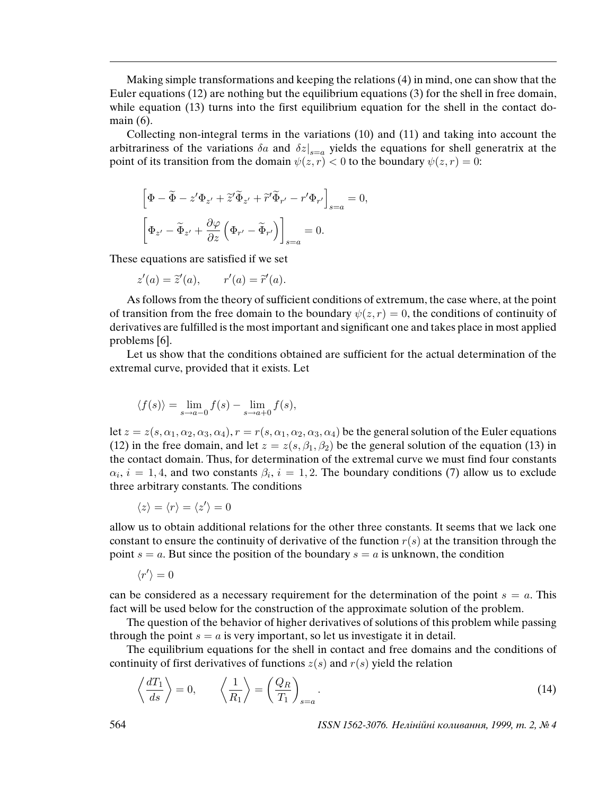Making simple transformations and keeping the relations (4) in mind, one can show that the Euler equations (12) are nothing but the equilibrium equations (3) for the shell in free domain, while equation (13) turns into the first equilibrium equation for the shell in the contact domain (6).

Collecting non-integral terms in the variations (10) and (11) and taking into account the arbitrariness of the variations  $\delta a$  and  $\delta z|_{s=a}$  yields the equations for shell generatrix at the point of its transition from the domain  $\psi(z, r) < 0$  to the boundary  $\psi(z, r) = 0$ :

$$
\left[\Phi - \tilde{\Phi} - z'\Phi_{z'} + \tilde{z}'\tilde{\Phi}_{z'} + \tilde{r}'\tilde{\Phi}_{r'} - r'\Phi_{r'}\right]_{s=a} = 0,
$$
  

$$
\left[\Phi_{z'} - \tilde{\Phi}_{z'} + \frac{\partial\varphi}{\partial z}\left(\Phi_{r'} - \tilde{\Phi}_{r'}\right)\right]_{s=a} = 0.
$$

These equations are satisfied if we set

$$
z'(a) = \tilde{z}'(a), \qquad r'(a) = \tilde{r}'(a).
$$

As follows from the theory of sufficient conditions of extremum, the case where, at the point of transition from the free domain to the boundary  $\psi(z, r) = 0$ , the conditions of continuity of derivatives are fulfilled is the most important and significant one and takes place in most applied problems [6].

Let us show that the conditions obtained are sufficient for the actual determination of the extremal curve, provided that it exists. Let

$$
\langle f(s) \rangle = \lim_{s \to a-0} f(s) - \lim_{s \to a+0} f(s),
$$

let  $z = z(s, \alpha_1, \alpha_2, \alpha_3, \alpha_4)$ ,  $r = r(s, \alpha_1, \alpha_2, \alpha_3, \alpha_4)$  be the general solution of the Euler equations (12) in the free domain, and let  $z = z(s, \beta_1, \beta_2)$  be the general solution of the equation (13) in the contact domain. Thus, for determination of the extremal curve we must find four constants  $\alpha_i$ ,  $i = 1, 4$ , and two constants  $\beta_i$ ,  $i = 1, 2$ . The boundary conditions (7) allow us to exclude three arbitrary constants. The conditions

$$
\langle z \rangle = \langle r \rangle = \langle z' \rangle = 0
$$

allow us to obtain additional relations for the other three constants. It seems that we lack one constant to ensure the continuity of derivative of the function  $r(s)$  at the transition through the point  $s = a$ . But since the position of the boundary  $s = a$  is unknown, the condition

$$
\langle r' \rangle = 0
$$

can be considered as a necessary requirement for the determination of the point  $s = a$ . This fact will be used below for the construction of the approximate solution of the problem.

The question of the behavior of higher derivatives of solutions of this problem while passing through the point  $s = a$  is very important, so let us investigate it in detail.

The equilibrium equations for the shell in contact and free domains and the conditions of continuity of first derivatives of functions  $z(s)$  and  $r(s)$  yield the relation

$$
\left\langle \frac{dT_1}{ds} \right\rangle = 0, \qquad \left\langle \frac{1}{R_1} \right\rangle = \left( \frac{Q_R}{T_1} \right)_{s=a}.
$$
\n(14)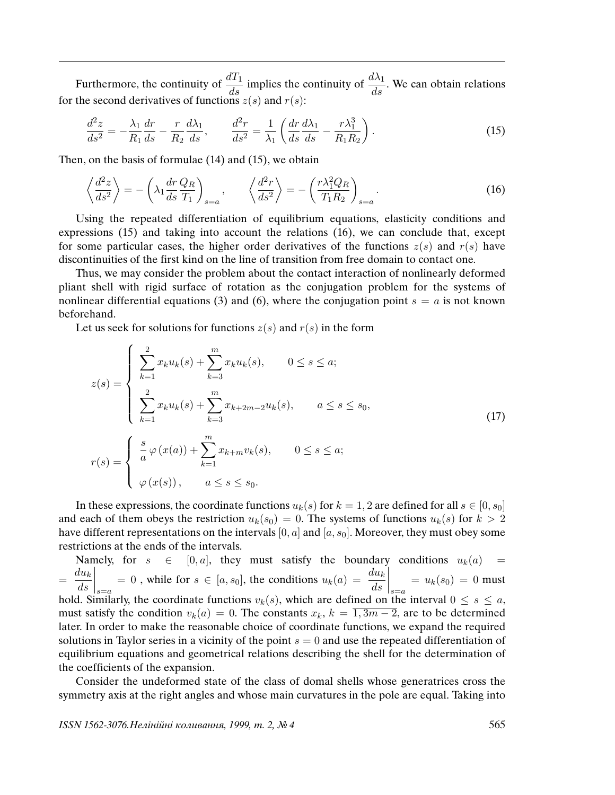Furthermore, the continuity of  $\frac{dT_1}{ds}$  implies the continuity of  $\frac{d\lambda_1}{ds}$ . We can obtain relations for the second derivatives of functions  $z(s)$  and  $r(s)$ :

$$
\frac{d^2z}{ds^2} = -\frac{\lambda_1}{R_1}\frac{dr}{ds} - \frac{r}{R_2}\frac{d\lambda_1}{ds}, \qquad \frac{d^2r}{ds^2} = \frac{1}{\lambda_1} \left( \frac{dr}{ds}\frac{d\lambda_1}{ds} - \frac{r\lambda_1^3}{R_1R_2} \right). \tag{15}
$$

Then, on the basis of formulae (14) and (15), we obtain

$$
\left\langle \frac{d^2 z}{ds^2} \right\rangle = -\left(\lambda_1 \frac{dr}{ds} \frac{Q_R}{T_1}\right)_{s=a}, \qquad \left\langle \frac{d^2 r}{ds^2} \right\rangle = -\left(\frac{r \lambda_1^2 Q_R}{T_1 R_2}\right)_{s=a}.
$$
\n(16)

Using the repeated differentiation of equilibrium equations, elasticity conditions and expressions (15) and taking into account the relations (16), we can conclude that, except for some particular cases, the higher order derivatives of the functions  $z(s)$  and  $r(s)$  have discontinuities of the first kind on the line of transition from free domain to contact one.

Thus, we may consider the problem about the contact interaction of nonlinearly deformed pliant shell with rigid surface of rotation as the conjugation problem for the systems of nonlinear differential equations (3) and (6), where the conjugation point  $s = a$  is not known beforehand.

Let us seek for solutions for functions  $z(s)$  and  $r(s)$  in the form

$$
z(s) = \begin{cases} \sum_{k=1}^{2} x_k u_k(s) + \sum_{k=3}^{m} x_k u_k(s), & 0 \le s \le a; \\ \sum_{k=1}^{2} x_k u_k(s) + \sum_{k=3}^{m} x_{k+2m-2} u_k(s), & a \le s \le s_0, \\ r(s) = \begin{cases} \frac{s}{a} \varphi(x(a)) + \sum_{k=1}^{m} x_{k+m} v_k(s), & 0 \le s \le a; \\ \varphi(x(s)), & a \le s \le s_0. \end{cases} \end{cases}
$$
(17)

In these expressions, the coordinate functions  $u_k(s)$  for  $k = 1, 2$  are defined for all  $s \in [0, s_0]$ and each of them obeys the restriction  $u_k(s_0) = 0$ . The systems of functions  $u_k(s)$  for  $k > 2$ have different representations on the intervals  $[0, a]$  and  $[a, s_0]$ . Moreover, they must obey some restrictions at the ends of the intervals.

Namely, for  $s \in [0, a]$ , they must satisfy the boundary conditions  $u_k(a) =$  $=\frac{du_k}{du_k}$ ds  $\Bigg|_{s=a}$  $= 0$ , while for  $s \in [a, s_0]$ , the conditions  $u_k(a) = \frac{du_k}{ds}$  $\Bigg|_{s=a}$  $= u_k(s_0) = 0$  must hold. Similarly, the coordinate functions  $v_k(s)$ , which are defined on the interval  $0 \le s \le a$ , must satisfy the condition  $v_k(a) = 0$ . The constants  $x_k$ ,  $k = \overline{1, 3m - 2}$ , are to be determined later. In order to make the reasonable choice of coordinate functions, we expand the required solutions in Taylor series in a vicinity of the point  $s = 0$  and use the repeated differentiation of equilibrium equations and geometrical relations describing the shell for the determination of the coefficients of the expansion.

Consider the undeformed state of the class of domal shells whose generatrices cross the symmetry axis at the right angles and whose main curvatures in the pole are equal. Taking into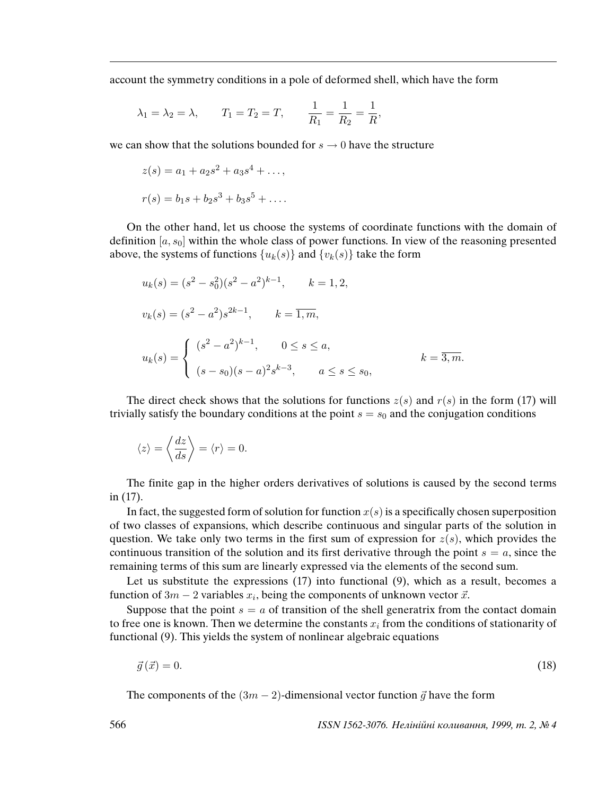account the symmetry conditions in a pole of deformed shell, which have the form

$$
\lambda_1 = \lambda_2 = \lambda
$$
,  $T_1 = T_2 = T$ ,  $\frac{1}{R_1} = \frac{1}{R_2} = \frac{1}{R}$ ,

we can show that the solutions bounded for  $s \to 0$  have the structure

$$
z(s) = a_1 + a_2s^2 + a_3s^4 + \dots,
$$
  

$$
r(s) = b_1s + b_2s^3 + b_3s^5 + \dots.
$$

On the other hand, let us choose the systems of coordinate functions with the domain of definition  $[a, s_0]$  within the whole class of power functions. In view of the reasoning presented above, the systems of functions  $\{u_k(s)\}\$  and  $\{v_k(s)\}\$  take the form

$$
u_k(s) = (s^2 - s_0^2)(s^2 - a^2)^{k-1}, \t k = 1, 2,
$$
  

$$
v_k(s) = (s^2 - a^2)s^{2k-1}, \t k = \overline{1, m},
$$
  

$$
u_k(s) = \begin{cases} (s^2 - a^2)^{k-1}, & 0 \le s \le a, \\ (s - s_0)(s - a)^2 s^{k-3}, & a \le s \le s_0, \end{cases}
$$

The direct check shows that the solutions for functions  $z(s)$  and  $r(s)$  in the form (17) will trivially satisfy the boundary conditions at the point  $s = s_0$  and the conjugation conditions

$$
\langle z \rangle = \left\langle \frac{dz}{ds} \right\rangle = \langle r \rangle = 0.
$$

The finite gap in the higher orders derivatives of solutions is caused by the second terms in (17).

In fact, the suggested form of solution for function  $x(s)$  is a specifically chosen superposition of two classes of expansions, which describe continuous and singular parts of the solution in question. We take only two terms in the first sum of expression for  $z(s)$ , which provides the continuous transition of the solution and its first derivative through the point  $s = a$ , since the remaining terms of this sum are linearly expressed via the elements of the second sum.

Let us substitute the expressions (17) into functional (9), which as a result, becomes a function of  $3m - 2$  variables  $x_i$ , being the components of unknown vector  $\vec{x}$ .

Suppose that the point  $s = a$  of transition of the shell generatrix from the contact domain to free one is known. Then we determine the constants  $x_i$  from the conditions of stationarity of functional (9). This yields the system of nonlinear algebraic equations

$$
\vec{g}\left(\vec{x}\right) = 0.\tag{18}
$$

The components of the  $(3m - 2)$ -dimensional vector function  $\vec{g}$  have the form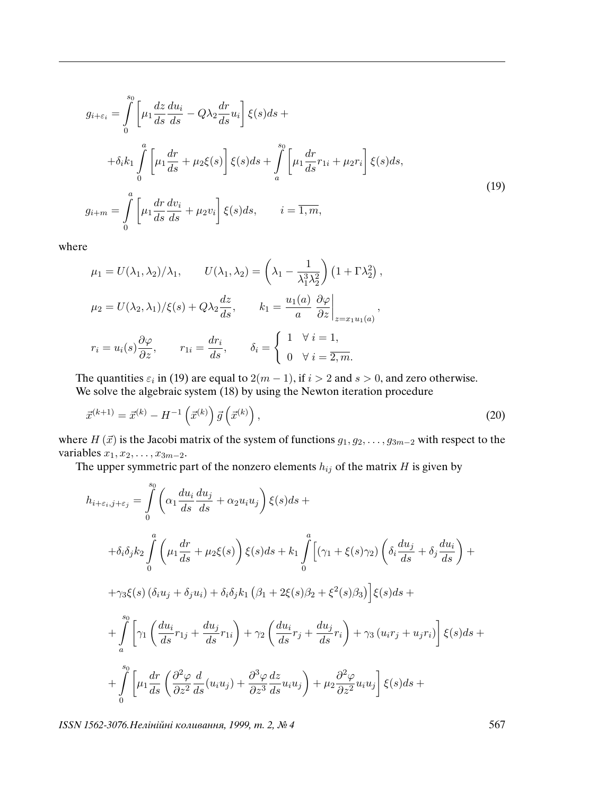$$
g_{i+\varepsilon_i} = \int_0^{s_0} \left[ \mu_1 \frac{dz}{ds} \frac{du_i}{ds} - Q\lambda_2 \frac{dr}{ds} u_i \right] \xi(s) ds +
$$
  
+ 
$$
\delta_i k_1 \int_0^a \left[ \mu_1 \frac{dr}{ds} + \mu_2 \xi(s) \right] \xi(s) ds + \int_a^{s_0} \left[ \mu_1 \frac{dr}{ds} r_{1i} + \mu_2 r_i \right] \xi(s) ds,
$$
  

$$
g_{i+m} = \int_0^a \left[ \mu_1 \frac{dr}{ds} \frac{dv_i}{ds} + \mu_2 v_i \right] \xi(s) ds, \qquad i = \overline{1, m},
$$
  
(19)

where

$$
\mu_1 = U(\lambda_1, \lambda_2) / \lambda_1, \qquad U(\lambda_1, \lambda_2) = \left(\lambda_1 - \frac{1}{\lambda_1^3 \lambda_2^2}\right) \left(1 + \Gamma \lambda_2^2\right),
$$

$$
\mu_2 = U(\lambda_2, \lambda_1) / \xi(s) + Q\lambda_2 \frac{dz}{ds}, \qquad k_1 = \frac{u_1(a)}{a} \left. \frac{\partial \varphi}{\partial z} \right|_{z = x_1 u_1(a)},
$$

$$
r_i = u_i(s) \frac{\partial \varphi}{\partial z}, \qquad r_{1i} = \frac{dr_i}{ds}, \qquad \delta_i = \begin{cases} 1 & \forall i = 1, \\ 0 & \forall i = \overline{2, m}. \end{cases}
$$

The quantities  $\varepsilon_i$  in (19) are equal to  $2(m-1)$ , if  $i > 2$  and  $s > 0$ , and zero otherwise. We solve the algebraic system (18) by using the Newton iteration procedure

$$
\vec{x}^{(k+1)} = \vec{x}^{(k)} - H^{-1}\left(\vec{x}^{(k)}\right)\vec{g}\left(\vec{x}^{(k)}\right),\tag{20}
$$

where  $H(\vec{x})$  is the Jacobi matrix of the system of functions  $g_1, g_2, \ldots, g_{3m-2}$  with respect to the variables  $x_1, x_2, \ldots, x_{3m-2}$ .

The upper symmetric part of the nonzero elements  $h_{ij}$  of the matrix  $H$  is given by

$$
h_{i+\varepsilon_{i},j+\varepsilon_{j}} = \int_{0}^{s_{0}} \left( \alpha_{1} \frac{du_{i}}{ds} \frac{du_{j}}{ds} + \alpha_{2} u_{i} u_{j} \right) \xi(s) ds +
$$
  
\n
$$
+ \delta_{i} \delta_{j} k_{2} \int_{0}^{a} \left( \mu_{1} \frac{dr}{ds} + \mu_{2} \xi(s) \right) \xi(s) ds + k_{1} \int_{0}^{a} \left[ (\gamma_{1} + \xi(s) \gamma_{2}) \left( \delta_{i} \frac{du_{j}}{ds} + \delta_{j} \frac{du_{i}}{ds} \right) +
$$
  
\n
$$
+ \gamma_{3} \xi(s) \left( \delta_{i} u_{j} + \delta_{j} u_{i} \right) + \delta_{i} \delta_{j} k_{1} \left( \beta_{1} + 2 \xi(s) \beta_{2} + \xi^{2}(s) \beta_{3} \right) \left[ \xi(s) ds +
$$
  
\n
$$
+ \int_{a}^{s_{0}} \left[ \gamma_{1} \left( \frac{du_{i}}{ds} r_{1j} + \frac{du_{j}}{ds} r_{1i} \right) + \gamma_{2} \left( \frac{du_{i}}{ds} r_{j} + \frac{du_{j}}{ds} r_{i} \right) + \gamma_{3} \left( u_{i} r_{j} + u_{j} r_{i} \right) \right] \xi(s) ds +
$$
  
\n
$$
+ \int_{0}^{s_{0}} \left[ \mu_{1} \frac{dr}{ds} \left( \frac{\partial^{2} \varphi}{\partial z^{2}} \frac{d}{ds} (u_{i} u_{j}) + \frac{\partial^{3} \varphi}{\partial z^{3}} \frac{dz}{ds} u_{i} u_{j} \right) + \mu_{2} \frac{\partial^{2} \varphi}{\partial z^{2}} u_{i} u_{j} \right] \xi(s) ds +
$$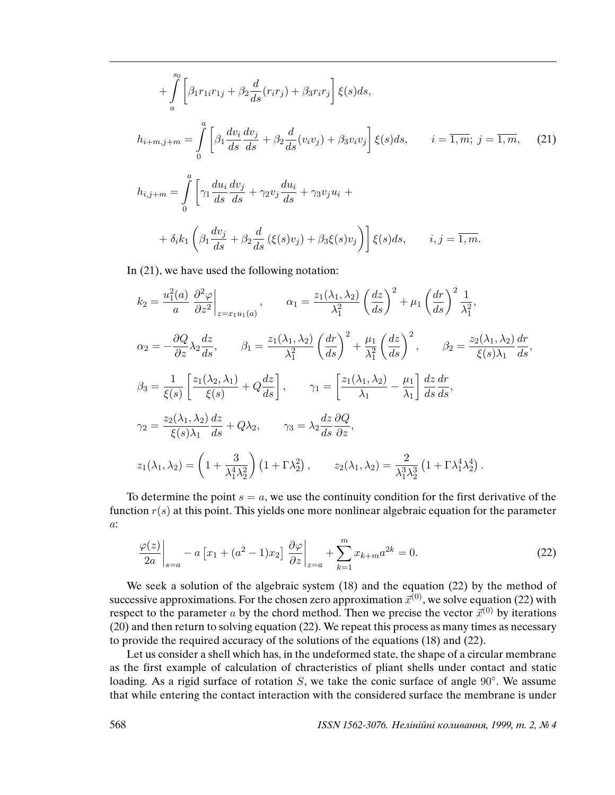$$
+\int_{a}^{s_0} \left[\beta_1 r_{1i}r_{1j} + \beta_2 \frac{d}{ds}(r_i r_j) + \beta_3 r_i r_j\right] \xi(s) ds,
$$
  

$$
h_{i+m,j+m} = \int_{0}^{a} \left[\beta_1 \frac{dv_i}{ds} \frac{dv_j}{ds} + \beta_2 \frac{d}{ds}(v_i v_j) + \beta_3 v_i v_j\right] \xi(s) ds, \qquad i = \overline{1, m}; \ j = \overline{1, m}, \tag{21}
$$

$$
h_{i,j+m} = \int_{0}^{a} \left[ \gamma_1 \frac{du_i}{ds} \frac{dv_j}{ds} + \gamma_2 v_j \frac{du_i}{ds} + \gamma_3 v_j u_i + \right.
$$
  
+ 
$$
\delta_i k_1 \left( \beta_1 \frac{dv_j}{ds} + \beta_2 \frac{d}{ds} (\xi(s)v_j) + \beta_3 \xi(s)v_j \right) \right] \xi(s) ds, \qquad i, j = \overline{1, m}.
$$

In (21), we have used the following notation:

$$
k_2 = \frac{u_1^2(a)}{a} \left. \frac{\partial^2 \varphi}{\partial z^2} \right|_{z=x_1u_1(a)}, \qquad \alpha_1 = \frac{z_1(\lambda_1, \lambda_2)}{\lambda_1^2} \left( \frac{dz}{ds} \right)^2 + \mu_1 \left( \frac{dr}{ds} \right)^2 \frac{1}{\lambda_1^2},
$$
  
\n
$$
\alpha_2 = -\frac{\partial Q}{\partial z} \lambda_2 \frac{dz}{ds}, \qquad \beta_1 = \frac{z_1(\lambda_1, \lambda_2)}{\lambda_1^2} \left( \frac{dr}{ds} \right)^2 + \frac{\mu_1}{\lambda_1^2} \left( \frac{dz}{ds} \right)^2, \qquad \beta_2 = \frac{z_2(\lambda_1, \lambda_2)}{\xi(s)\lambda_1} \frac{dr}{ds},
$$
  
\n
$$
\beta_3 = \frac{1}{\xi(s)} \left[ \frac{z_1(\lambda_2, \lambda_1)}{\xi(s)} + Q \frac{dz}{ds} \right], \qquad \gamma_1 = \left[ \frac{z_1(\lambda_1, \lambda_2)}{\lambda_1} - \frac{\mu_1}{\lambda_1} \right] \frac{dz}{ds} \frac{dr}{ds},
$$
  
\n
$$
\gamma_2 = \frac{z_2(\lambda_1, \lambda_2)}{\xi(s)\lambda_1} \frac{dz}{ds} + Q\lambda_2, \qquad \gamma_3 = \lambda_2 \frac{dz}{ds} \frac{\partial Q}{\partial z},
$$
  
\n
$$
z_1(\lambda_1, \lambda_2) = \left( 1 + \frac{3}{\lambda_1^4 \lambda_2^2} \right) (1 + \Gamma \lambda_2^2), \qquad z_2(\lambda_1, \lambda_2) = \frac{2}{\lambda_1^3 \lambda_2^3} (1 + \Gamma \lambda_1^4 \lambda_2^4).
$$

To determine the point  $s = a$ , we use the continuity condition for the first derivative of the function  $r(s)$  at this point. This yields one more nonlinear algebraic equation for the parameter a:

$$
\frac{\varphi(z)}{2a}\bigg|_{s=a} - a \left[x_1 + (a^2 - 1)x_2\right] \frac{\partial \varphi}{\partial z}\bigg|_{z=a} + \sum_{k=1}^{m} x_{k+m} a^{2k} = 0.
$$
 (22)

We seek a solution of the algebraic system (18) and the equation (22) by the method of successive approximations. For the chosen zero approximation  $\vec{x}^{(0)}$ , we solve equation (22) with respect to the parameter a by the chord method. Then we precise the vector  $\vec{x}^{(0)}$  by iterations (20) and then return to solving equation (22). We repeat this process as many times as necessary to provide the required accuracy of the solutions of the equations (18) and (22).

Let us consider a shell which has, in the undeformed state, the shape of a circular membrane as the first example of calculation of chracteristics of pliant shells under contact and static loading. As a rigid surface of rotation S, we take the conic surface of angle  $90^\circ$ . We assume that while entering the contact interaction with the considered surface the membrane is under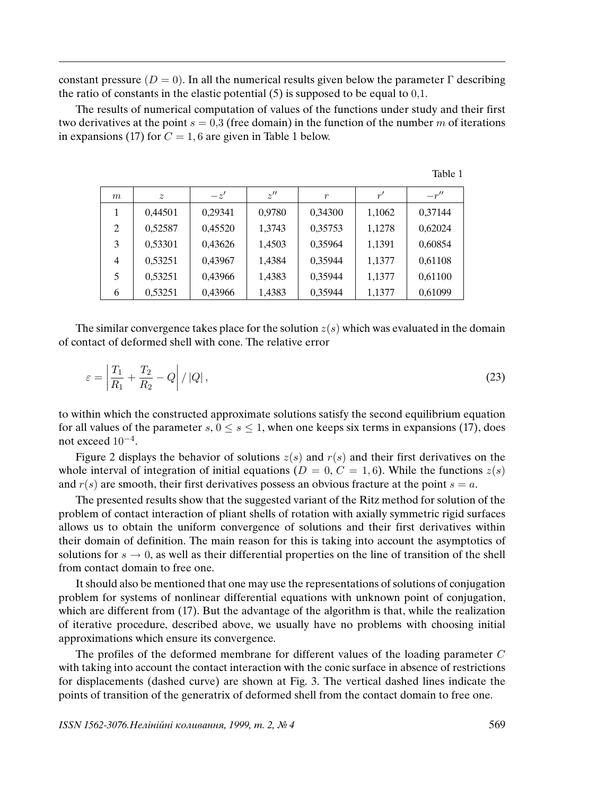constant pressure ( $D = 0$ ). In all the numerical results given below the parameter  $\Gamma$  describing the ratio of constants in the elastic potential  $(5)$  is supposed to be equal to  $0,1$ .

The results of numerical computation of values of the functions under study and their first two derivatives at the point  $s = 0.3$  (free domain) in the function of the number m of iterations in expansions (17) for  $C = 1, 6$  are given in Table 1 below.

| m | $\tilde{z}$ | $-z'$   | z''    | $\boldsymbol{r}$ | r'     | $-r''$  |
|---|-------------|---------|--------|------------------|--------|---------|
| 1 | 0,44501     | 0,29341 | 0,9780 | 0,34300          | 1,1062 | 0,37144 |
| 2 | 0,52587     | 0,45520 | 1,3743 | 0,35753          | 1,1278 | 0,62024 |
| 3 | 0,53301     | 0,43626 | 1,4503 | 0,35964          | 1,1391 | 0,60854 |
| 4 | 0,53251     | 0,43967 | 1,4384 | 0,35944          | 1,1377 | 0,61108 |
| 5 | 0,53251     | 0,43966 | 1,4383 | 0,35944          | 1,1377 | 0,61100 |
| 6 | 0,53251     | 0,43966 | 1,4383 | 0,35944          | 1,1377 | 0,61099 |

The similar convergence takes place for the solution  $z(s)$  which was evaluated in the domain of contact of deformed shell with cone. The relative error

$$
\varepsilon = \left| \frac{T_1}{R_1} + \frac{T_2}{R_2} - Q \right| / |Q|, \tag{23}
$$

to within which the constructed approximate solutions satisfy the second equilibrium equation for all values of the parameter s,  $0 \le s \le 1$ , when one keeps six terms in expansions (17), does not exceed  $10^{-4}$ .

Figure 2 displays the behavior of solutions  $z(s)$  and  $r(s)$  and their first derivatives on the whole interval of integration of initial equations ( $D = 0, C = 1, 6$ ). While the functions  $z(s)$ and  $r(s)$  are smooth, their first derivatives possess an obvious fracture at the point  $s = a$ .

The presented results show that the suggested variant of the Ritz method for solution of the problem of contact interaction of pliant shells of rotation with axially symmetric rigid surfaces allows us to obtain the uniform convergence of solutions and their first derivatives within their domain of definition. The main reason for this is taking into account the asymptotics of solutions for  $s \to 0$ , as well as their differential properties on the line of transition of the shell from contact domain to free one.

It should also be mentioned that one may use the representations of solutions of conjugation problem for systems of nonlinear differential equations with unknown point of conjugation, which are different from (17). But the advantage of the algorithm is that, while the realization of iterative procedure, described above, we usually have no problems with choosing initial approximations which ensure its convergence.

The profiles of the deformed membrane for different values of the loading parameter C with taking into account the contact interaction with the conic surface in absence of restrictions for displacements (dashed curve) are shown at Fig. 3. The vertical dashed lines indicate the points of transition of the generatrix of deformed shell from the contact domain to free one.

Table 1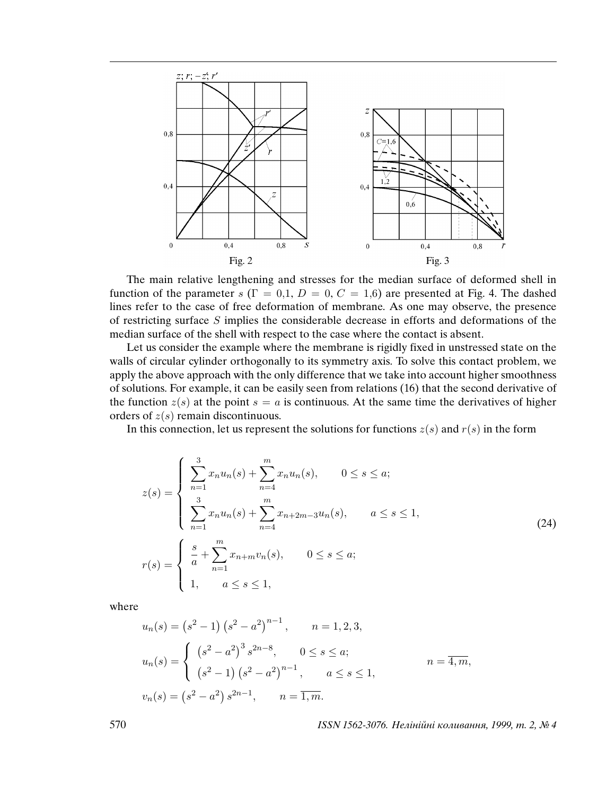

The main relative lengthening and stresses for the median surface of deformed shell in function of the parameter s ( $\Gamma = 0.1$ ,  $D = 0$ ,  $C = 1.6$ ) are presented at Fig. 4. The dashed lines refer to the case of free deformation of membrane. As one may observe, the presence of restricting surface S implies the considerable decrease in efforts and deformations of the median surface of the shell with respect to the case where the contact is absent.

Let us consider the example where the membrane is rigidly fixed in unstressed state on the walls of circular cylinder orthogonally to its symmetry axis. To solve this contact problem, we apply the above approach with the only difference that we take into account higher smoothness of solutions. For example, it can be easily seen from relations (16) that the second derivative of the function  $z(s)$  at the point  $s = a$  is continuous. At the same time the derivatives of higher orders of  $z(s)$  remain discontinuous.

In this connection, let us represent the solutions for functions  $z(s)$  and  $r(s)$  in the form

$$
z(s) = \begin{cases} \sum_{n=1}^{3} x_n u_n(s) + \sum_{n=4}^{m} x_n u_n(s), & 0 \le s \le a; \\ \sum_{n=1}^{3} x_n u_n(s) + \sum_{n=4}^{m} x_{n+2m-3} u_n(s), & a \le s \le 1, \\ n \end{cases}
$$
  
\n
$$
r(s) = \begin{cases} \frac{s}{a} + \sum_{n=1}^{m} x_{n+m} v_n(s), & 0 \le s \le a; \\ 1, & a \le s \le 1, \end{cases}
$$
  
\n(24)

where

$$
u_n(s) = (s^2 - 1) (s^2 - a^2)^{n-1}, \t n = 1, 2, 3,
$$
  

$$
u_n(s) = \begin{cases} (s^2 - a^2)^3 s^{2n-8}, & 0 \le s \le a; \\ (s^2 - 1) (s^2 - a^2)^{n-1}, & a \le s \le 1, \end{cases}
$$
  

$$
v_n(s) = (s^2 - a^2) s^{2n-1}, \t n = \overline{1, m}.
$$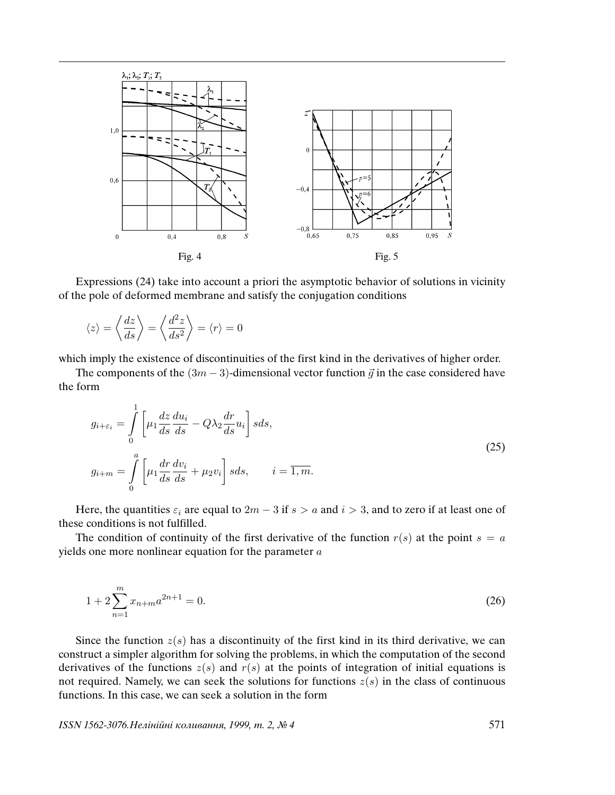

Expressions (24) take into account a priori the asymptotic behavior of solutions in vicinity of the pole of deformed membrane and satisfy the conjugation conditions

$$
\langle z \rangle = \left\langle \frac{dz}{ds} \right\rangle = \left\langle \frac{d^2 z}{ds^2} \right\rangle = \langle r \rangle = 0
$$

which imply the existence of discontinuities of the first kind in the derivatives of higher order.

The components of the  $(3m - 3)$ -dimensional vector function  $\vec{q}$  in the case considered have the form

$$
g_{i+\varepsilon_i} = \int_0^1 \left[ \mu_1 \frac{dz}{ds} \frac{du_i}{ds} - Q\lambda_2 \frac{dr}{ds} u_i \right] s ds,
$$
  

$$
g_{i+m} = \int_0^a \left[ \mu_1 \frac{dr}{ds} \frac{dv_i}{ds} + \mu_2 v_i \right] s ds, \qquad i = \overline{1, m}.
$$
 (25)

Here, the quantities  $\varepsilon_i$  are equal to  $2m - 3$  if  $s > a$  and  $i > 3$ , and to zero if at least one of these conditions is not fulfilled.

The condition of continuity of the first derivative of the function  $r(s)$  at the point  $s = a$ yields one more nonlinear equation for the parameter  $a$ 

$$
1 + 2\sum_{n=1}^{m} x_{n+m} a^{2n+1} = 0.
$$
 (26)

Since the function  $z(s)$  has a discontinuity of the first kind in its third derivative, we can construct a simpler algorithm for solving the problems, in which the computation of the second derivatives of the functions  $z(s)$  and  $r(s)$  at the points of integration of initial equations is not required. Namely, we can seek the solutions for functions  $z(s)$  in the class of continuous functions. In this case, we can seek a solution in the form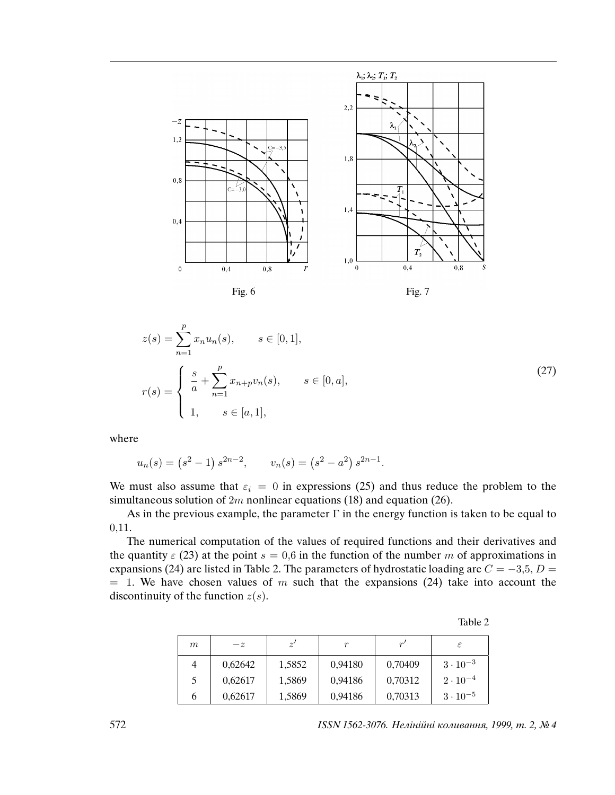





$$
z(s) = \sum_{n=1}^{p} x_n u_n(s), \qquad s \in [0, 1],
$$
  

$$
r(s) = \begin{cases} \frac{s}{a} + \sum_{n=1}^{p} x_{n+p} v_n(s), & s \in [0, a], \\ 1, & s \in [a, 1], \end{cases}
$$
 (27)

where

$$
u_n(s) = (s^2 - 1) s^{2n-2}, \qquad v_n(s) = (s^2 - a^2) s^{2n-1}.
$$

We must also assume that  $\varepsilon_i = 0$  in expressions (25) and thus reduce the problem to the simultaneous solution of  $2m$  nonlinear equations (18) and equation (26).

As in the previous example, the parameter  $\Gamma$  in the energy function is taken to be equal to 0,11.

The numerical computation of the values of required functions and their derivatives and the quantity  $\varepsilon$  (23) at the point  $s = 0.6$  in the function of the number m of approximations in expansions (24) are listed in Table 2. The parameters of hydrostatic loading are  $C = -3.5$ ,  $D =$  $= 1$ . We have chosen values of m such that the expansions (24) take into account the discontinuity of the function  $z(s)$ .

| m | $-z$    | z'     | r       | r'      |                   |
|---|---------|--------|---------|---------|-------------------|
|   | 0,62642 | 1,5852 | 0,94180 | 0,70409 | $3 \cdot 10^{-3}$ |
| 5 | 0,62617 | 1,5869 | 0,94186 | 0,70312 | $2 \cdot 10^{-4}$ |
|   | 0,62617 | 1,5869 | 0,94186 | 0,70313 | $3\cdot10^{-5}$   |